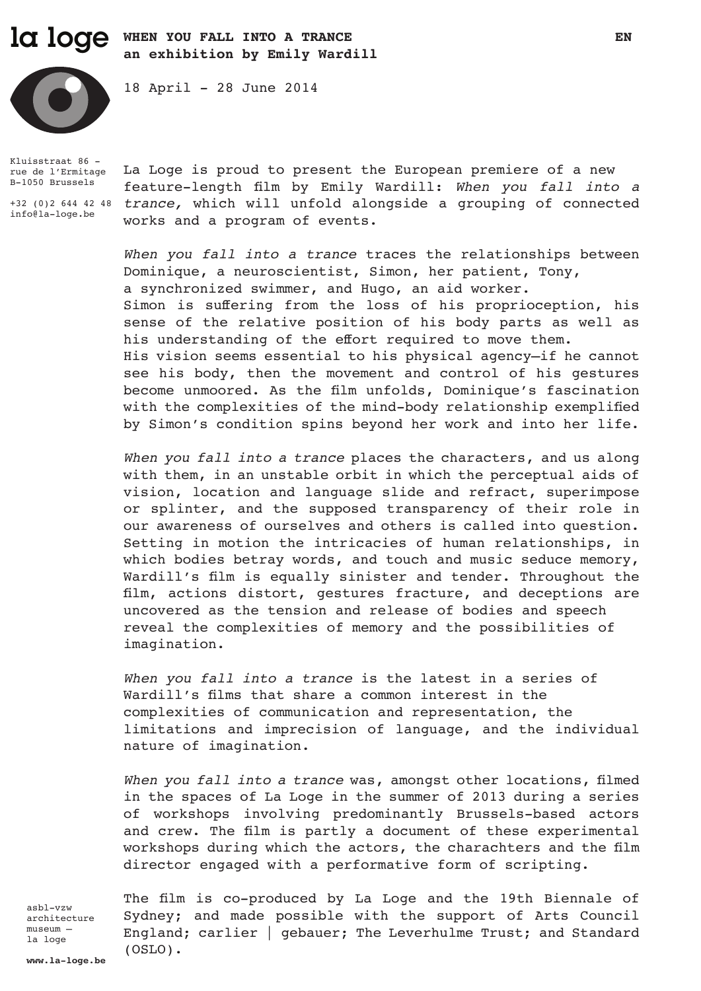# la loge when you fall into a trance en extending the sense of the sense of the sense of the sense of the sense of the sense of the sense of the sense of the sense of the sense of the sense of the sense of the sense of the **an exhibition by Emily Wardill**

18 April - 28 June 2014



Kluisstraat 86 rue de l'Ermitage B-1050 Brussels

info@la-loge.be

+32 (0)2 644 42 48 *trance,* which will unfold alongside a grouping of connected La Loge is proud to present the European premiere of a new feature-length film by Emily Wardill: *When you fall into a*  works and a program of events.

> *When you fall into a trance* traces the relationships between Dominique, a neuroscientist, Simon, her patient, Tony, a synchronized swimmer, and Hugo, an aid worker. Simon is suffering from the loss of his proprioception, his sense of the relative position of his body parts as well as his understanding of the effort required to move them. His vision seems essential to his physical agency—if he cannot see his body, then the movement and control of his gestures become unmoored. As the film unfolds, Dominique's fascination with the complexities of the mind-body relationship exemplified by Simon's condition spins beyond her work and into her life.

> *When you fall into a trance* places the characters, and us along with them, in an unstable orbit in which the perceptual aids of vision, location and language slide and refract, superimpose or splinter, and the supposed transparency of their role in our awareness of ourselves and others is called into question. Setting in motion the intricacies of human relationships, in which bodies betray words, and touch and music seduce memory, Wardill's film is equally sinister and tender. Throughout the film, actions distort, gestures fracture, and deceptions are uncovered as the tension and release of bodies and speech reveal the complexities of memory and the possibilities of imagination.

> *When you fall into a trance* is the latest in a series of Wardill's films that share a common interest in the complexities of communication and representation, the limitations and imprecision of language, and the individual nature of imagination.

> *When you fall into a trance* was, amongst other locations, filmed in the spaces of La Loge in the summer of 2013 during a series of workshops involving predominantly Brussels-based actors and crew. The film is partly a document of these experimental workshops during which the actors, the charachters and the film director engaged with a performative form of scripting.

asbl-vzw architecture museum – la loge

The film is co-produced by La Loge and the 19th Biennale of Sydney; and made possible with the support of Arts Council England; carlier | gebauer; The Leverhulme Trust; and Standard (OSLO).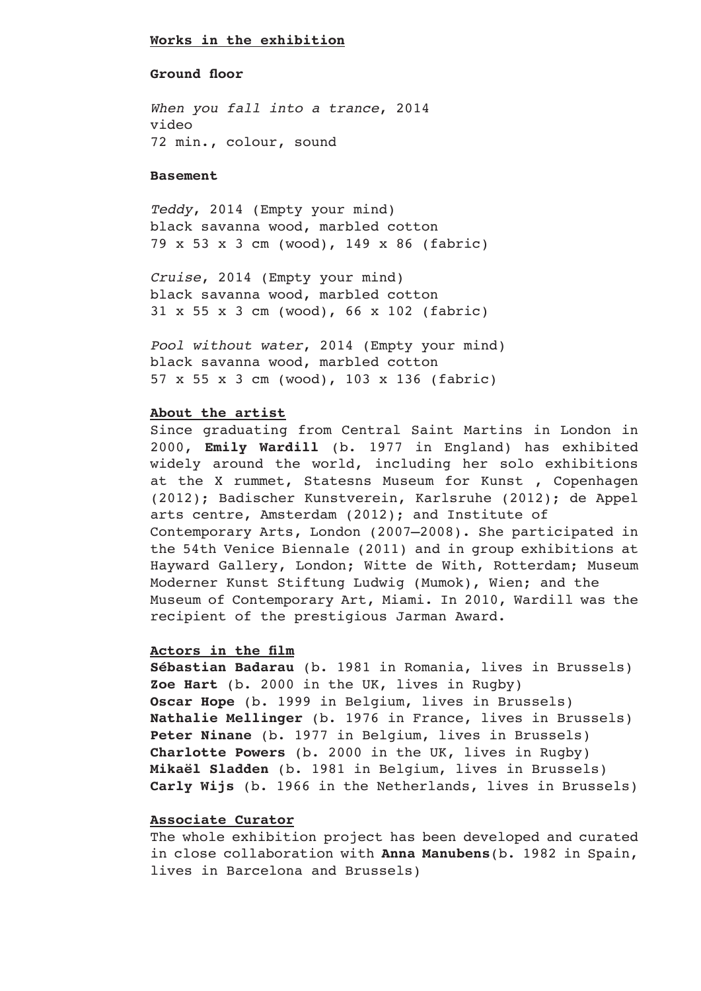#### **Works in the exhibition**

### **Ground floor**

*When you fall into a trance*, 2014 video 72 min., colour, sound

### **Basement**

*Teddy*, 2014 (Empty your mind) black savanna wood, marbled cotton 79 x 53 x 3 cm (wood), 149 x 86 (fabric)

*Cruise*, 2014 (Empty your mind) black savanna wood, marbled cotton 31 x 55 x 3 cm (wood), 66 x 102 (fabric)

*Pool without water*, 2014 (Empty your mind) black savanna wood, marbled cotton 57 x 55 x 3 cm (wood), 103 x 136 (fabric)

#### **About the artist**

Since graduating from Central Saint Martins in London in 2000, **Emily Wardill** (b. 1977 in England) has exhibited widely around the world, including her solo exhibitions at the X rummet, Statesns Museum for Kunst , Copenhagen (2012); Badischer Kunstverein, Karlsruhe (2012); de Appel arts centre, Amsterdam (2012); and Institute of Contemporary Arts, London (2007–2008). She participated in the 54th Venice Biennale (2011) and in group exhibitions at Hayward Gallery, London; Witte de With, Rotterdam; Museum Moderner Kunst Stiftung Ludwig (Mumok), Wien; and the Museum of Contemporary Art, Miami. In 2010, Wardill was the recipient of the prestigious Jarman Award.

#### **Actors in the film**

**Sébastian Badarau** (b. 1981 in Romania, lives in Brussels) **Zoe Hart** (b. 2000 in the UK, lives in Rugby) **Oscar Hope** (b. 1999 in Belgium, lives in Brussels) **Nathalie Mellinger** (b. 1976 in France, lives in Brussels) Peter Ninane (b. 1977 in Belgium, lives in Brussels) **Charlotte Powers** (b. 2000 in the UK, lives in Rugby) **Mikaël Sladden** (b. 1981 in Belgium, lives in Brussels) **Carly Wijs** (b. 1966 in the Netherlands, lives in Brussels)

#### **Associate Curator**

The whole exhibition project has been developed and curated in close collaboration with **Anna Manubens**(b. 1982 in Spain, lives in Barcelona and Brussels)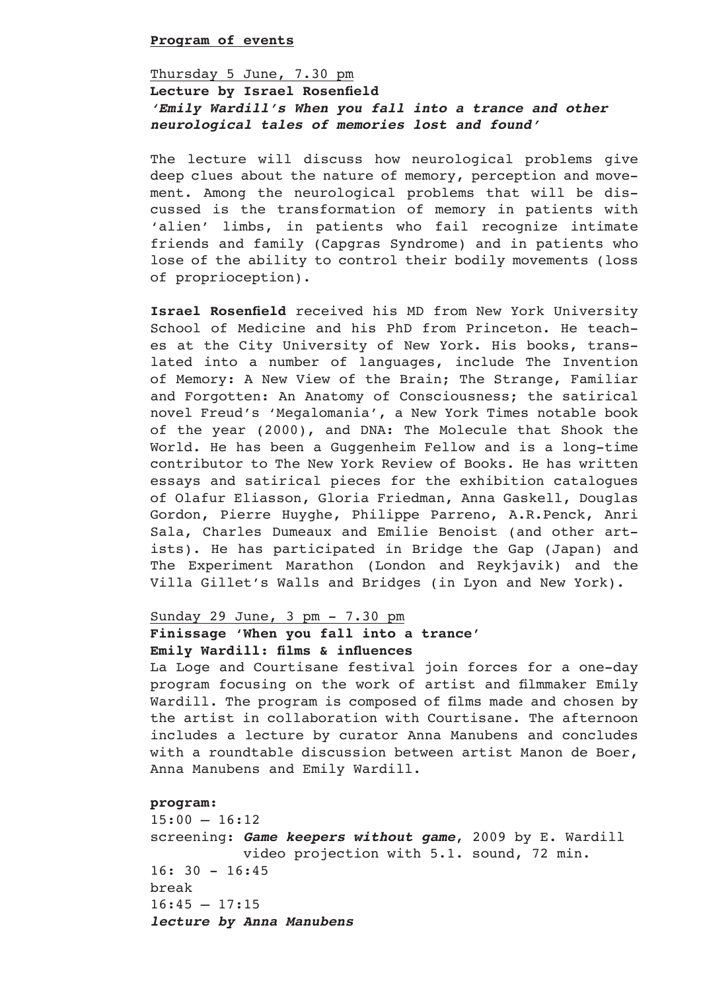#### **Program of events**

# Thursday 5 June, 7.30 pm **Lecture by Israel Rosenfield** *'Emily Wardill's When you fall into a trance and other neurological tales of memories lost and found'*

The lecture will discuss how neurological problems give deep clues about the nature of memory, perception and movement. Among the neurological problems that will be discussed is the transformation of memory in patients with 'alien' limbs, in patients who fail recognize intimate friends and family (Capgras Syndrome) and in patients who lose of the ability to control their bodily movements (loss of proprioception).

**Israel Rosenfield** received his MD from New York University School of Medicine and his PhD from Princeton. He teaches at the City University of New York. His books, translated into a number of languages, include The Invention of Memory: A New View of the Brain; The Strange, Familiar and Forgotten: An Anatomy of Consciousness; the satirical novel Freud's 'Megalomania', a New York Times notable book of the year (2000), and DNA: The Molecule that Shook the World. He has been a Guggenheim Fellow and is a long-time contributor to The New York Review of Books. He has written essays and satirical pieces for the exhibition catalogues of Olafur Eliasson, Gloria Friedman, Anna Gaskell, Douglas Gordon, Pierre Huyghe, Philippe Parreno, A.R.Penck, Anri Sala, Charles Dumeaux and Emilie Benoist (and other artists). He has participated in Bridge the Gap (Japan) and The Experiment Marathon (London and Reykjavik) and the Villa Gillet's Walls and Bridges (in Lyon and New York).

# Sunday 29 June, 3 pm - 7.30 pm **Finissage 'When you fall into a trance'**

# **Emily Wardill: films & influences**

La Loge and Courtisane festival join forces for a one-day program focusing on the work of artist and filmmaker Emily Wardill. The program is composed of films made and chosen by the artist in collaboration with Courtisane. The afternoon includes a lecture by curator Anna Manubens and concludes with a roundtable discussion between artist Manon de Boer, Anna Manubens and Emily Wardill.

### **program:**

 $15:00 - 16:12$ screening: *Game keepers without game*, 2009 by E. Wardill video projection with 5.1. sound, 72 min.  $16: 30 - 16:45$ break  $16:45 - 17:15$ *lecture by Anna Manubens*